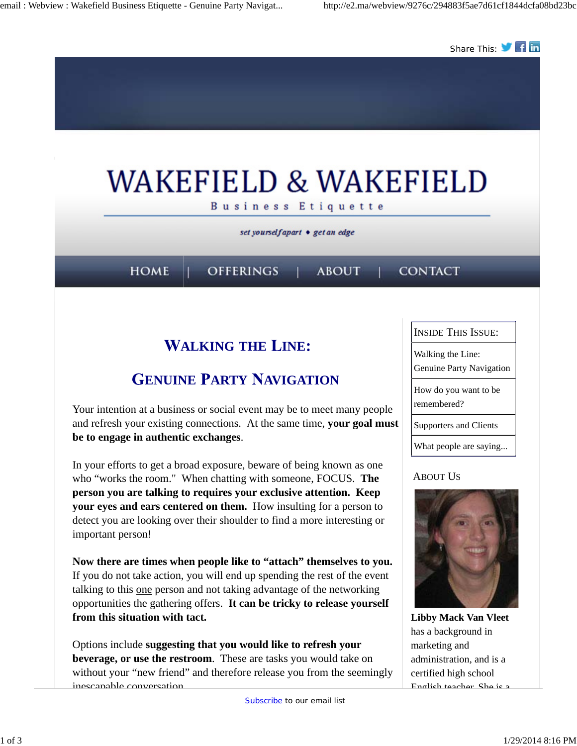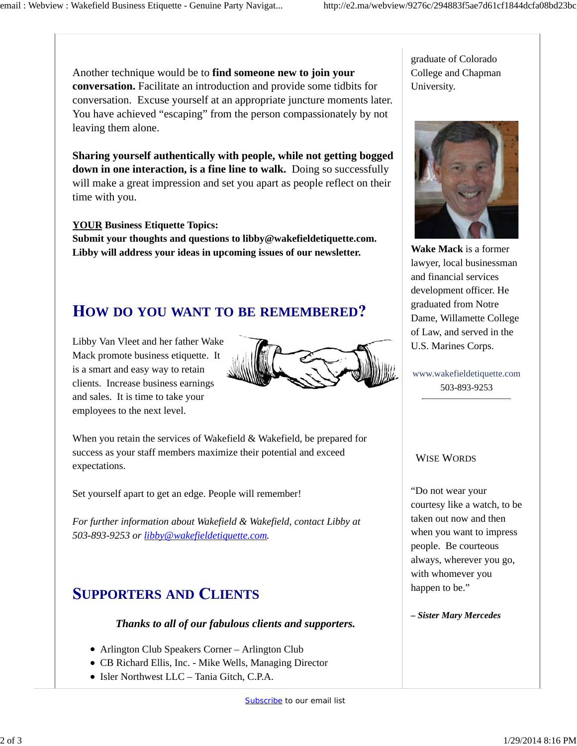Another technique would be to **find someone new to join your conversation.** Facilitate an introduction and provide some tidbits for conversation. Excuse yourself at an appropriate juncture moments later. You have achieved "escaping" from the person compassionately by not leaving them alone.

**Sharing yourself authentically with people, while not getting bogged down in one interaction, is a fine line to walk.** Doing so successfully will make a great impression and set you apart as people reflect on their time with you.

#### **YOUR Business Etiquette Topics:**

**Submit your thoughts and questions to libby@wakefieldetiquette.com. Libby will address your ideas in upcoming issues of our newsletter.**

## **OW DO YOU WANT TO BE REMEMBERED**

Libby Van Vleet and her father Wake Mack promote business etiquette. It is a smart and easy way to retain clients. Increase business earnings and sales. It is time to take your employees to the next level.



When you retain the services of Wakefield & Wakefield, be prepared for success as your staff members maximize their potential and exceed expectations.

Set yourself apart to get an edge. People will remember!

*For further information about Wakefield & Wakefield, contact Libby at 503-893-9253 or libby@wakefieldetiquette.com.*

### **UPPORTERS AND LIENTS**

### *Thanks to all of our fabulous clients and supporters.*

- Arlington Club Speakers Corner Arlington Club
- CB Richard Ellis, Inc. Mike Wells, Managing Director
- Isler Northwest LLC Tania Gitch, C.P.A.



**Wake Mack** is a former lawyer, local businessman and financial services development officer. He graduated from Notre Dame, Willamette College of Law, and served in the U.S. Marines Corps.

www.wakefieldetiquette.com 503-893-9253

### WISE WORDS

"Do not wear your courtesy like a watch, to be taken out now and then when you want to impress people. Be courteous always, wherever you go, with whomever you happen to be."

*– Sister Mary Mercedes*